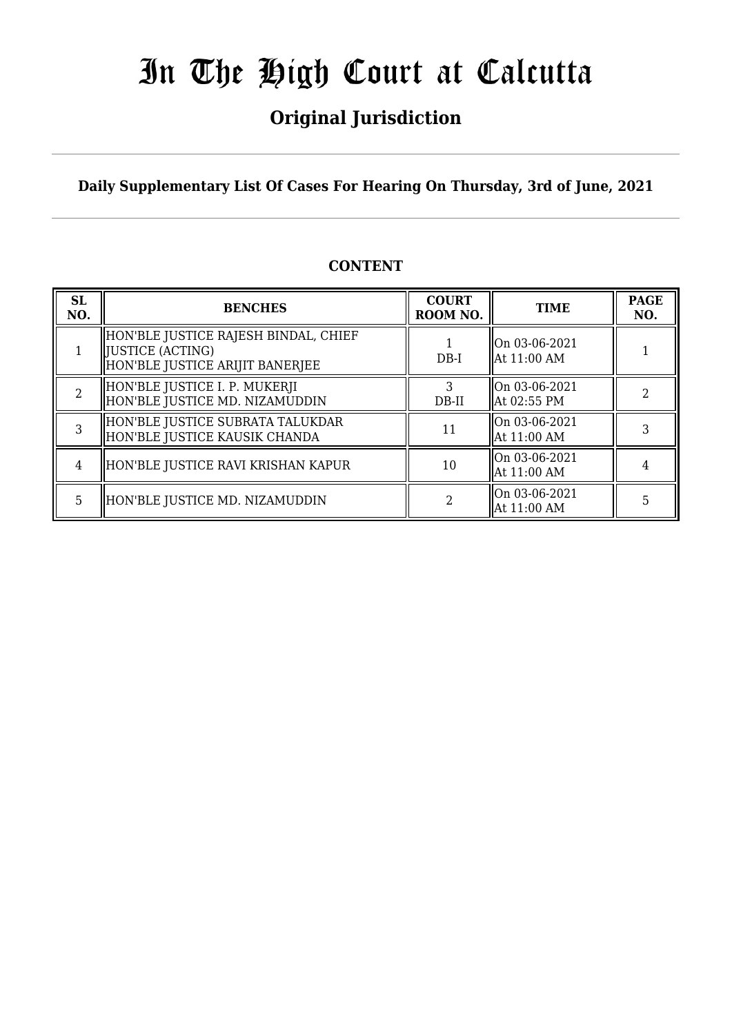## **Original Jurisdiction**

**Daily Supplementary List Of Cases For Hearing On Thursday, 3rd of June, 2021**

### **CONTENT**

| <b>SL</b><br>NO. | <b>BENCHES</b>                                                                                     | <b>COURT</b><br>ROOM NO. | <b>TIME</b>                  | <b>PAGE</b><br>NO. |
|------------------|----------------------------------------------------------------------------------------------------|--------------------------|------------------------------|--------------------|
|                  | HON'BLE JUSTICE RAJESH BINDAL, CHIEF<br><b>JUSTICE (ACTING)</b><br>HON'BLE JUSTICE ARIJIT BANERJEE | $DB-I$                   | On 03-06-2021<br>At 11:00 AM |                    |
|                  | HON'BLE JUSTICE I. P. MUKERJI<br>HON'BLE JUSTICE MD. NIZAMUDDIN                                    | DB-II                    | On 03-06-2021<br>At 02:55 PM |                    |
|                  | HON'BLE JUSTICE SUBRATA TALUKDAR<br>HON'BLE JUSTICE KAUSIK CHANDA                                  | 11                       | On 03-06-2021<br>At 11:00 AM |                    |
| 4                | HON'BLE JUSTICE RAVI KRISHAN KAPUR                                                                 | 10                       | On 03-06-2021<br>At 11:00 AM |                    |
| 5.               | HON'BLE JUSTICE MD. NIZAMUDDIN                                                                     |                          | On 03-06-2021<br>At 11:00 AM | 5                  |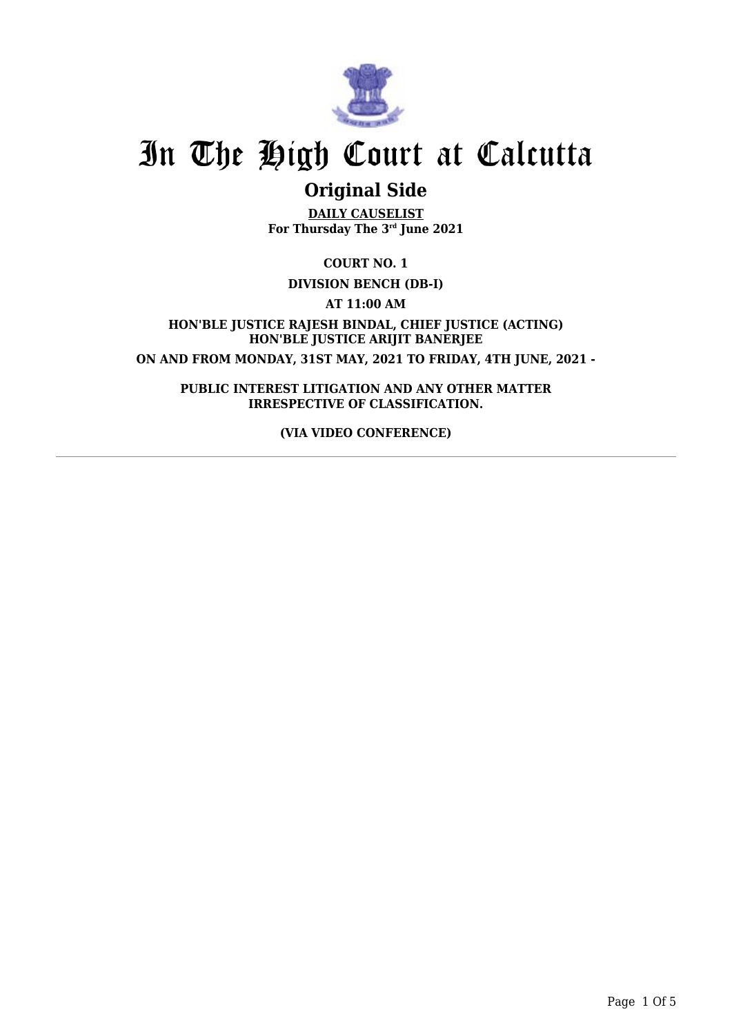

## **Original Side**

**DAILY CAUSELIST For Thursday The 3rd June 2021**

### **COURT NO. 1**

### **DIVISION BENCH (DB-I)**

**AT 11:00 AM**

**HON'BLE JUSTICE RAJESH BINDAL, CHIEF JUSTICE (ACTING) HON'BLE JUSTICE ARIJIT BANERJEE ON AND FROM MONDAY, 31ST MAY, 2021 TO FRIDAY, 4TH JUNE, 2021 -**

**PUBLIC INTEREST LITIGATION AND ANY OTHER MATTER IRRESPECTIVE OF CLASSIFICATION.**

**(VIA VIDEO CONFERENCE)**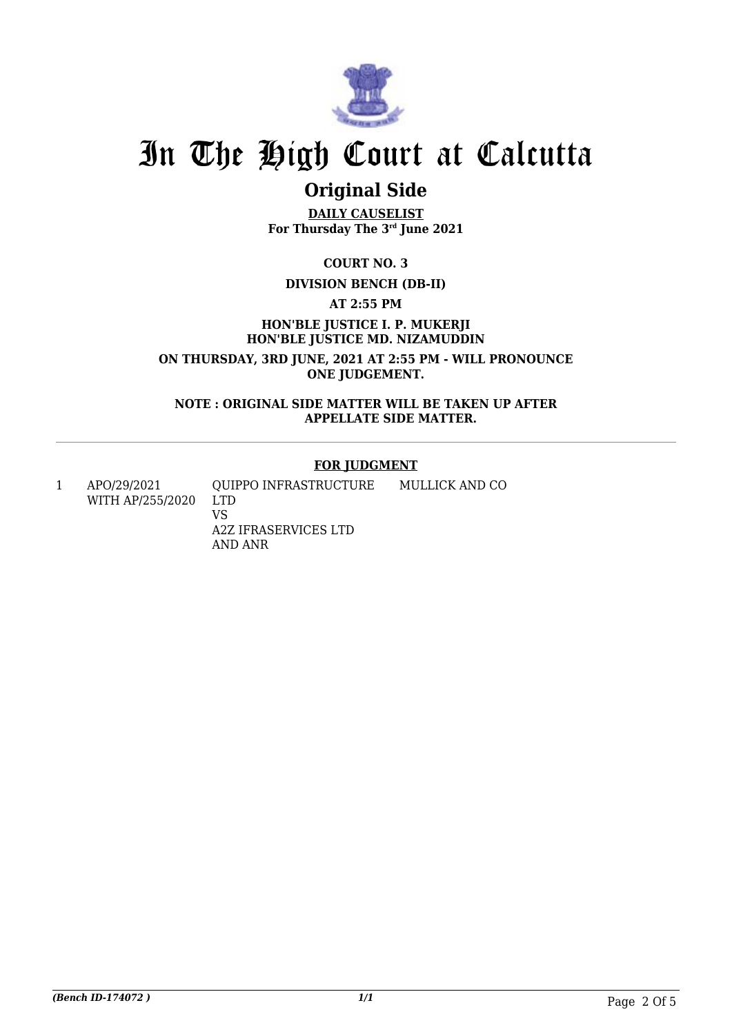

## **Original Side**

**DAILY CAUSELIST For Thursday The 3rd June 2021**

**COURT NO. 3**

#### **DIVISION BENCH (DB-II)**

**AT 2:55 PM**

**HON'BLE JUSTICE I. P. MUKERJI HON'BLE JUSTICE MD. NIZAMUDDIN**

**ON THURSDAY, 3RD JUNE, 2021 AT 2:55 PM - WILL PRONOUNCE ONE JUDGEMENT.**

**NOTE : ORIGINAL SIDE MATTER WILL BE TAKEN UP AFTER APPELLATE SIDE MATTER.**

#### **FOR JUDGMENT**

1 APO/29/2021 WITH AP/255/2020 QUIPPO INFRASTRUCTURE LTD VS A2Z IFRASERVICES LTD AND ANR MULLICK AND CO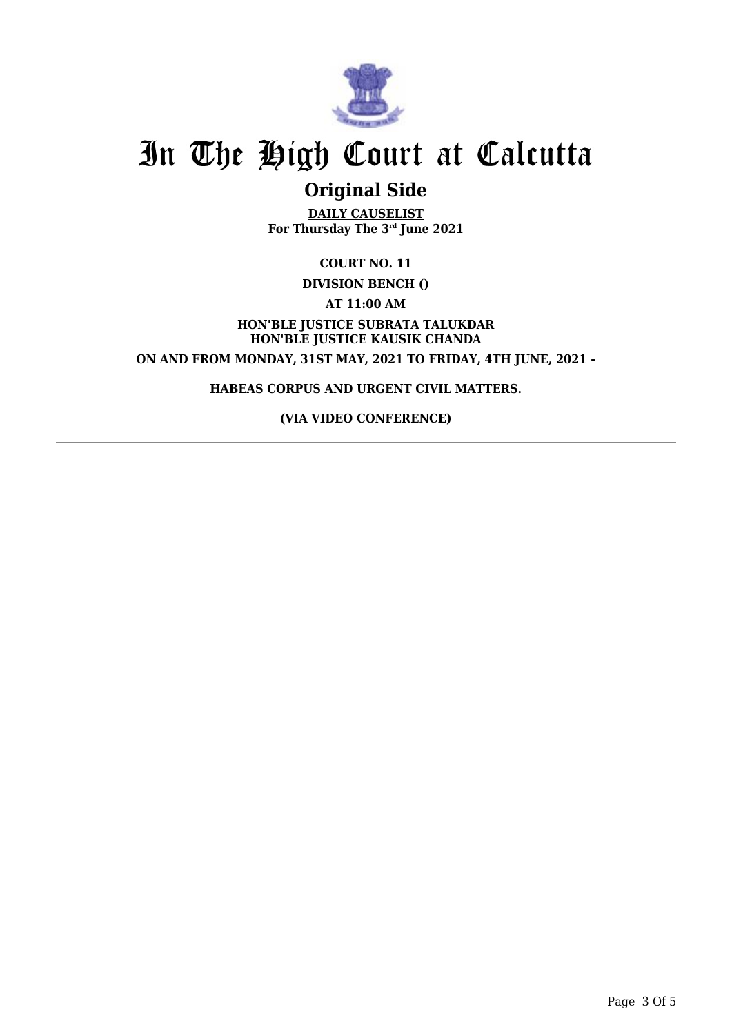

## **Original Side**

**DAILY CAUSELIST For Thursday The 3rd June 2021**

**COURT NO. 11**

**DIVISION BENCH ()**

**AT 11:00 AM**

**HON'BLE JUSTICE SUBRATA TALUKDAR HON'BLE JUSTICE KAUSIK CHANDA ON AND FROM MONDAY, 31ST MAY, 2021 TO FRIDAY, 4TH JUNE, 2021 -**

**HABEAS CORPUS AND URGENT CIVIL MATTERS.**

**(VIA VIDEO CONFERENCE)**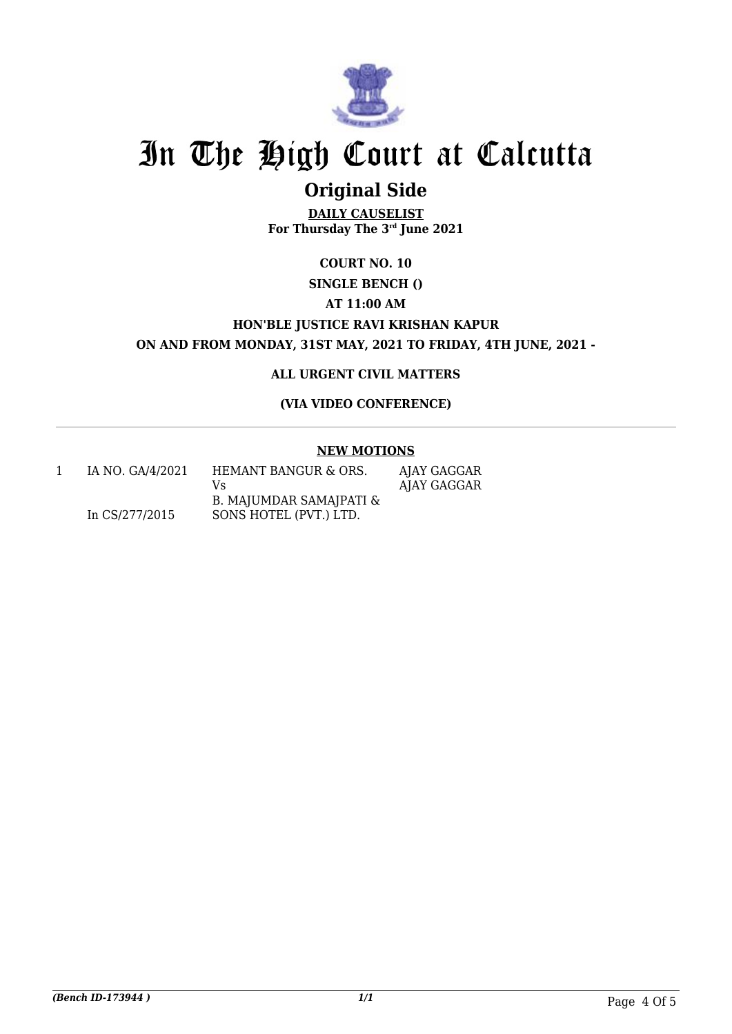

## **Original Side**

**DAILY CAUSELIST For Thursday The 3rd June 2021**

## **COURT NO. 10**

### **SINGLE BENCH () AT 11:00 AM HON'BLE JUSTICE RAVI KRISHAN KAPUR**

**ON AND FROM MONDAY, 31ST MAY, 2021 TO FRIDAY, 4TH JUNE, 2021 -**

### **ALL URGENT CIVIL MATTERS**

### **(VIA VIDEO CONFERENCE)**

#### **NEW MOTIONS**

| IA NO. GA/4/2021 | HEMANT BANGUR & ORS.    | AJAY GAGGAR |
|------------------|-------------------------|-------------|
|                  | V۹                      | AJAY GAGGAR |
|                  | B. MAJUMDAR SAMAJPATI & |             |
| In CS/277/2015   | SONS HOTEL (PVT.) LTD.  |             |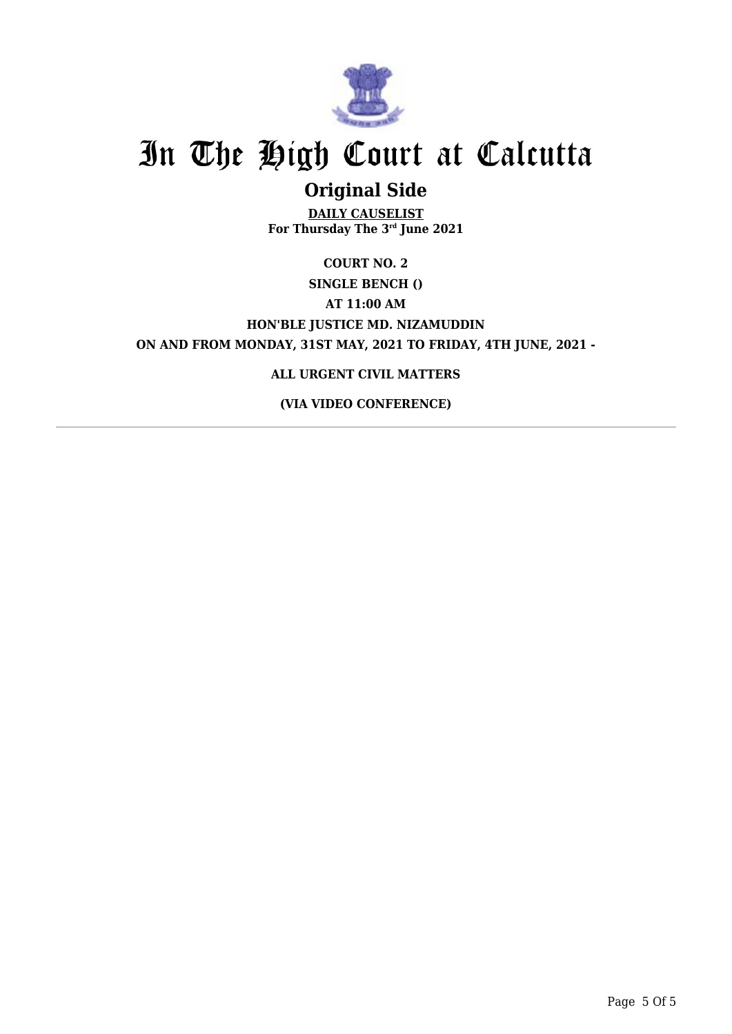

## **Original Side**

**DAILY CAUSELIST For Thursday The 3rd June 2021**

### **COURT NO. 2 SINGLE BENCH () AT 11:00 AM HON'BLE JUSTICE MD. NIZAMUDDIN ON AND FROM MONDAY, 31ST MAY, 2021 TO FRIDAY, 4TH JUNE, 2021 -**

### **ALL URGENT CIVIL MATTERS**

**(VIA VIDEO CONFERENCE)**